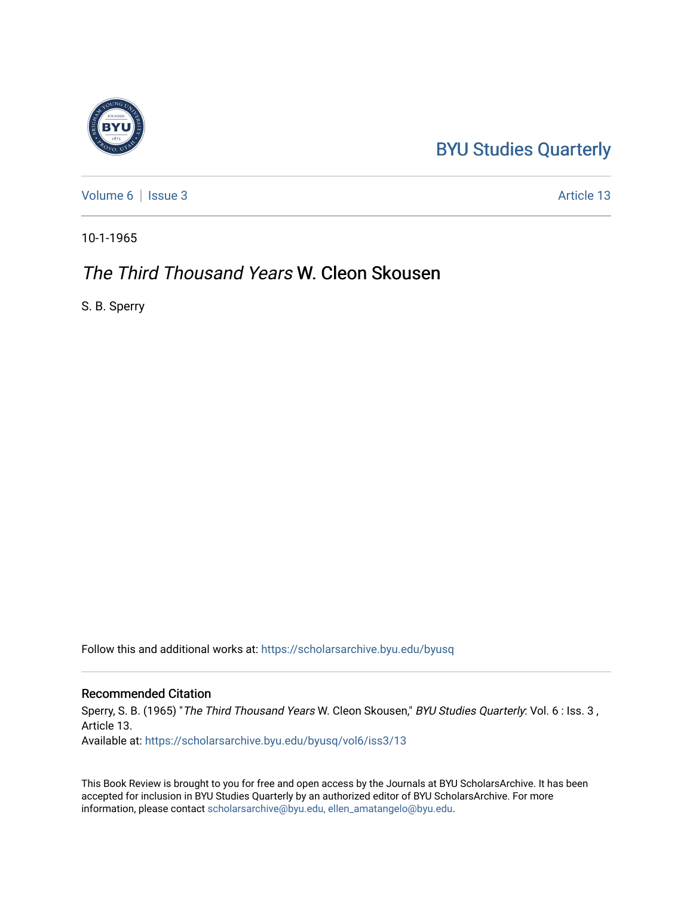## [BYU Studies Quarterly](https://scholarsarchive.byu.edu/byusq)

[Volume 6](https://scholarsarchive.byu.edu/byusq/vol6) | [Issue 3](https://scholarsarchive.byu.edu/byusq/vol6/iss3) Article 13

10-1-1965

## The Third Thousand Years W. Cleon Skousen

S. B. Sperry

Follow this and additional works at: [https://scholarsarchive.byu.edu/byusq](https://scholarsarchive.byu.edu/byusq?utm_source=scholarsarchive.byu.edu%2Fbyusq%2Fvol6%2Fiss3%2F13&utm_medium=PDF&utm_campaign=PDFCoverPages) 

## Recommended Citation

Sperry, S. B. (1965) "The Third Thousand Years W. Cleon Skousen," BYU Studies Quarterly: Vol. 6 : Iss. 3 , Article 13.

Available at: [https://scholarsarchive.byu.edu/byusq/vol6/iss3/13](https://scholarsarchive.byu.edu/byusq/vol6/iss3/13?utm_source=scholarsarchive.byu.edu%2Fbyusq%2Fvol6%2Fiss3%2F13&utm_medium=PDF&utm_campaign=PDFCoverPages)

This Book Review is brought to you for free and open access by the Journals at BYU ScholarsArchive. It has been accepted for inclusion in BYU Studies Quarterly by an authorized editor of BYU ScholarsArchive. For more information, please contact [scholarsarchive@byu.edu, ellen\\_amatangelo@byu.edu.](mailto:scholarsarchive@byu.edu,%20ellen_amatangelo@byu.edu)